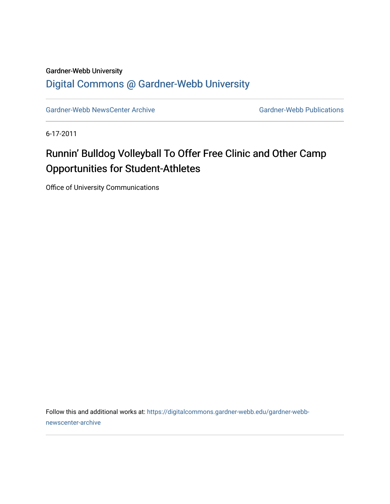## Gardner-Webb University [Digital Commons @ Gardner-Webb University](https://digitalcommons.gardner-webb.edu/)

[Gardner-Webb NewsCenter Archive](https://digitalcommons.gardner-webb.edu/gardner-webb-newscenter-archive) Gardner-Webb Publications

6-17-2011

## Runnin' Bulldog Volleyball To Offer Free Clinic and Other Camp Opportunities for Student-Athletes

Office of University Communications

Follow this and additional works at: [https://digitalcommons.gardner-webb.edu/gardner-webb](https://digitalcommons.gardner-webb.edu/gardner-webb-newscenter-archive?utm_source=digitalcommons.gardner-webb.edu%2Fgardner-webb-newscenter-archive%2F2070&utm_medium=PDF&utm_campaign=PDFCoverPages)[newscenter-archive](https://digitalcommons.gardner-webb.edu/gardner-webb-newscenter-archive?utm_source=digitalcommons.gardner-webb.edu%2Fgardner-webb-newscenter-archive%2F2070&utm_medium=PDF&utm_campaign=PDFCoverPages)